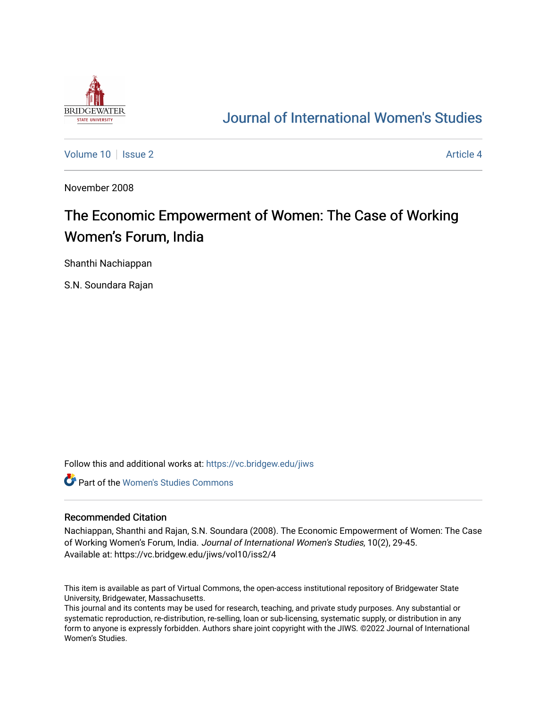

# [Journal of International Women's Studies](https://vc.bridgew.edu/jiws)

[Volume 10](https://vc.bridgew.edu/jiws/vol10) | [Issue 2](https://vc.bridgew.edu/jiws/vol10/iss2) Article 4

November 2008

# The Economic Empowerment of Women: The Case of Working Women's Forum, India

Shanthi Nachiappan

S.N. Soundara Rajan

Follow this and additional works at: [https://vc.bridgew.edu/jiws](https://vc.bridgew.edu/jiws?utm_source=vc.bridgew.edu%2Fjiws%2Fvol10%2Fiss2%2F4&utm_medium=PDF&utm_campaign=PDFCoverPages)

**C** Part of the Women's Studies Commons

#### Recommended Citation

Nachiappan, Shanthi and Rajan, S.N. Soundara (2008). The Economic Empowerment of Women: The Case of Working Women's Forum, India. Journal of International Women's Studies, 10(2), 29-45. Available at: https://vc.bridgew.edu/jiws/vol10/iss2/4

This item is available as part of Virtual Commons, the open-access institutional repository of Bridgewater State University, Bridgewater, Massachusetts.

This journal and its contents may be used for research, teaching, and private study purposes. Any substantial or systematic reproduction, re-distribution, re-selling, loan or sub-licensing, systematic supply, or distribution in any form to anyone is expressly forbidden. Authors share joint copyright with the JIWS. ©2022 Journal of International Women's Studies.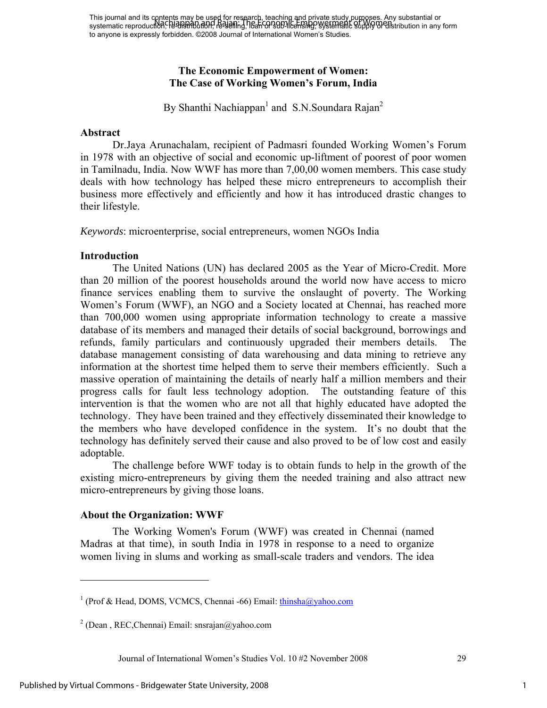# **The Economic Empowerment of Women: The Case of Working Women's Forum, India**

By Shanthi Nachiappan<sup>1</sup> and S.N.Soundara Rajan<sup>2</sup>

### **Abstract**

Dr.Jaya Arunachalam, recipient of Padmasri founded Working Women's Forum in 1978 with an objective of social and economic up-liftment of poorest of poor women in Tamilnadu, India. Now WWF has more than 7,00,00 women members. This case study deals with how technology has helped these micro entrepreneurs to accomplish their business more effectively and efficiently and how it has introduced drastic changes to their lifestyle.

*Keywords*: microenterprise, social entrepreneurs, women NGOs India

### **Introduction**

The United Nations (UN) has declared 2005 as the Year of Micro-Credit. More than 20 million of the poorest households around the world now have access to micro finance services enabling them to survive the onslaught of poverty. The Working Women's Forum (WWF), an NGO and a Society located at Chennai, has reached more than 700,000 women using appropriate information technology to create a massive database of its members and managed their details of social background, borrowings and refunds, family particulars and continuously upgraded their members details. The database management consisting of data warehousing and data mining to retrieve any information at the shortest time helped them to serve their members efficiently. Such a massive operation of maintaining the details of nearly half a million members and their progress calls for fault less technology adoption. The outstanding feature of this intervention is that the women who are not all that highly educated have adopted the technology. They have been trained and they effectively disseminated their knowledge to the members who have developed confidence in the system. It's no doubt that the technology has definitely served their cause and also proved to be of low cost and easily adoptable.

The challenge before WWF today is to obtain funds to help in the growth of the existing micro-entrepreneurs by giving them the needed training and also attract new micro-entrepreneurs by giving those loans.

### **About the Organization: WWF**

 $\overline{a}$ 

The Working Women's Forum (WWF) was created in Chennai (named Madras at that time), in south India in 1978 in response to a need to organize women living in slums and working as small-scale traders and vendors. The idea

Journal of International Women's Studies Vol. 10 #2 November 2008 29

1

<sup>&</sup>lt;sup>1</sup> (Prof & Head, DOMS, VCMCS, Chennai -66) Email: thinsha@yahoo.com

 $2$  (Dean, REC, Chennai) Email: snsrajan@yahoo.com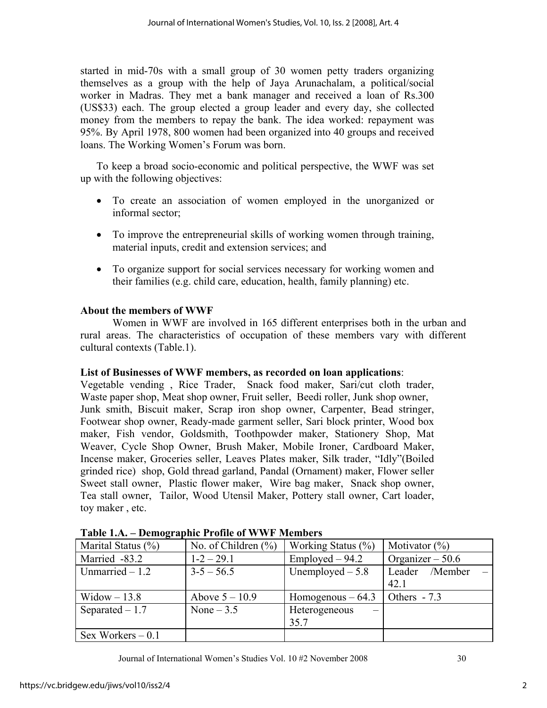started in mid-70s with a small group of 30 women petty traders organizing themselves as a group with the help of Jaya Arunachalam, a political/social worker in Madras. They met a bank manager and received a loan of Rs.300 (US\$33) each. The group elected a group leader and every day, she collected money from the members to repay the bank. The idea worked: repayment was 95%. By April 1978, 800 women had been organized into 40 groups and received loans. The Working Women's Forum was born.

To keep a broad socio-economic and political perspective, the WWF was set up with the following objectives:

- To create an association of women employed in the unorganized or informal sector;
- To improve the entrepreneurial skills of working women through training, material inputs, credit and extension services; and
- To organize support for social services necessary for working women and their families (e.g. child care, education, health, family planning) etc.

# **About the members of WWF**

Women in WWF are involved in 165 different enterprises both in the urban and rural areas. The characteristics of occupation of these members vary with different cultural contexts (Table.1).

### **List of Businesses of WWF members, as recorded on loan applications**:

Vegetable vending , Rice Trader, Snack food maker, Sari/cut cloth trader, Waste paper shop, Meat shop owner, Fruit seller, Beedi roller, Junk shop owner, Junk smith, Biscuit maker, Scrap iron shop owner, Carpenter, Bead stringer, Footwear shop owner, Ready-made garment seller, Sari block printer, Wood box maker, Fish vendor, Goldsmith, Toothpowder maker, Stationery Shop, Mat Weaver, Cycle Shop Owner, Brush Maker, Mobile Ironer, Cardboard Maker, Incense maker, Groceries seller, Leaves Plates maker, Silk trader, "Idly"(Boiled grinded rice) shop, Gold thread garland, Pandal (Ornament) maker, Flower seller Sweet stall owner, Plastic flower maker, Wire bag maker, Snack shop owner, Tea stall owner, Tailor, Wood Utensil Maker, Pottery stall owner, Cart loader, toy maker , etc.

| $1.0011$ $1.001$ $1.001$                          |                  |                                           |                   |  |
|---------------------------------------------------|------------------|-------------------------------------------|-------------------|--|
| No. of Children $(\% )$<br>Marital Status $(\% )$ |                  | Working Status (%)                        | Motivator $(\%)$  |  |
| Married -83.2                                     | $1 - 2 - 29.1$   | $Emploved - 94.2$                         | Organizer $-50.6$ |  |
| Unmarried $-1.2$                                  | $3 - 5 - 56.5$   | Unemployed $-5.8$                         | Leader /Member    |  |
|                                                   |                  |                                           | 42.1              |  |
| $Window-13.8$                                     | Above $5 - 10.9$ | Homogenous $-64.3$                        | Others $-7.3$     |  |
| Separated $-1.7$                                  | None $-3.5$      | Heterogeneous<br>$\overline{\phantom{m}}$ |                   |  |
|                                                   |                  | 35.7                                      |                   |  |
| Sex Workers $-0.1$                                |                  |                                           |                   |  |

|  |  | Table 1.A. – Demographic Profile of WWF Members |  |  |  |
|--|--|-------------------------------------------------|--|--|--|
|--|--|-------------------------------------------------|--|--|--|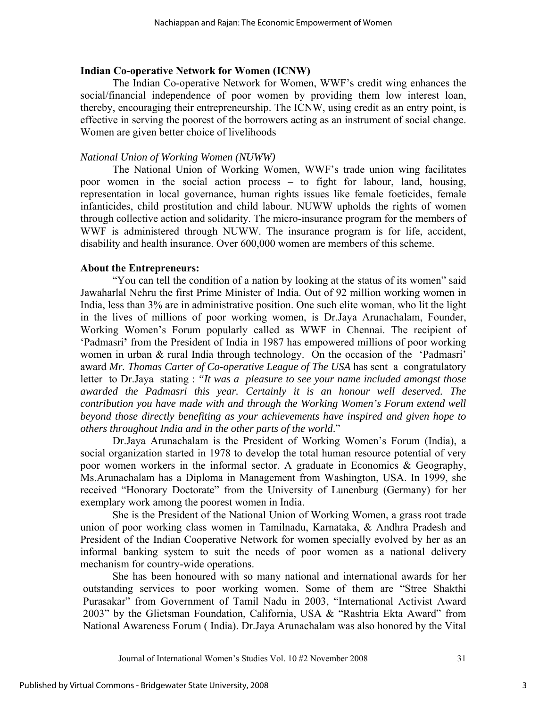## **Indian Co-operative Network for Women (ICNW)**

The Indian Co-operative Network for Women, WWF's credit wing enhances the social/financial independence of poor women by providing them low interest loan, thereby, encouraging their entrepreneurship. The ICNW, using credit as an entry point, is effective in serving the poorest of the borrowers acting as an instrument of social change. Women are given better choice of livelihoods

# *National Union of Working Women (NUWW)*

The National Union of Working Women, WWF's trade union wing facilitates poor women in the social action process – to fight for labour, land, housing, representation in local governance, human rights issues like female foeticides, female infanticides, child prostitution and child labour. NUWW upholds the rights of women through collective action and solidarity. The micro-insurance program for the members of WWF is administered through NUWW. The insurance program is for life, accident, disability and health insurance. Over 600,000 women are members of this scheme.

# **About the Entrepreneurs:**

"You can tell the condition of a nation by looking at the status of its women" said Jawaharlal Nehru the first Prime Minister of India. Out of 92 million working women in India, less than 3% are in administrative position. One such elite woman, who lit the light in the lives of millions of poor working women, is Dr.Jaya Arunachalam, Founder, Working Women's Forum popularly called as WWF in Chennai. The recipient of 'Padmasri**'** from the President of India in 1987 has empowered millions of poor working women in urban & rural India through technology. On the occasion of the 'Padmasri' award *Mr. Thomas Carter of Co-operative League of The USA* has sent a congratulatory letter to Dr.Jaya stating : *"It was a pleasure to see your name included amongst those awarded the Padmasri this year. Certainly it is an honour well deserved. The contribution you have made with and through the Working Women's Forum extend well beyond those directly benefiting as your achievements have inspired and given hope to others throughout India and in the other parts of the world*."

Dr.Jaya Arunachalam is the President of Working Women's Forum (India), a social organization started in 1978 to develop the total human resource potential of very poor women workers in the informal sector. A graduate in Economics & Geography, Ms.Arunachalam has a Diploma in Management from Washington, USA. In 1999, she received "Honorary Doctorate" from the University of Lunenburg (Germany) for her exemplary work among the poorest women in India.

She is the President of the National Union of Working Women, a grass root trade union of poor working class women in Tamilnadu, Karnataka, & Andhra Pradesh and President of the Indian Cooperative Network for women specially evolved by her as an informal banking system to suit the needs of poor women as a national delivery mechanism for country-wide operations.

She has been honoured with so many national and international awards for her outstanding services to poor working women. Some of them are "Stree Shakthi Purasakar" from Government of Tamil Nadu in 2003, "International Activist Award 2003" by the Glietsman Foundation, California, USA & "Rashtria Ekta Award" from National Awareness Forum ( India). Dr.Jaya Arunachalam was also honored by the Vital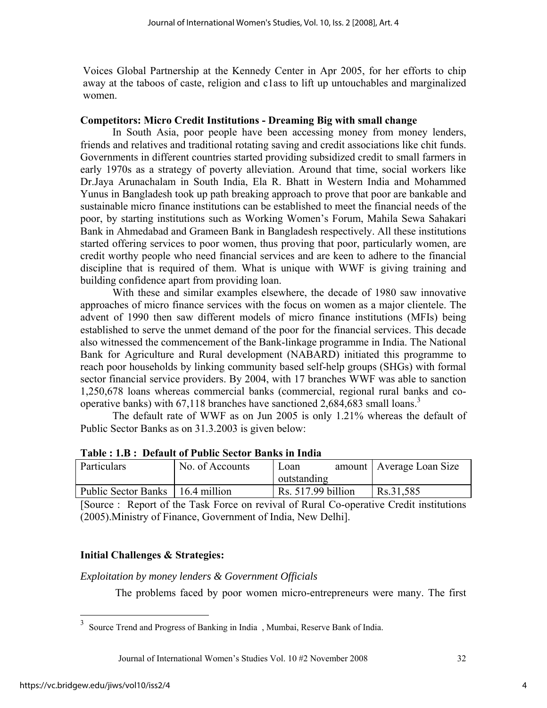Voices Global Partnership at the Kennedy Center in Apr 2005, for her efforts to chip away at the taboos of caste, religion and c1ass to lift up untouchables and marginalized women.

# **Competitors: Micro Credit Institutions - Dreaming Big with small change**

In South Asia, poor people have been accessing money from money lenders, friends and relatives and traditional rotating saving and credit associations like chit funds. Governments in different countries started providing subsidized credit to small farmers in early 1970s as a strategy of poverty alleviation. Around that time, social workers like Dr.Jaya Arunachalam in South India, Ela R. Bhatt in Western India and Mohammed Yunus in Bangladesh took up path breaking approach to prove that poor are bankable and sustainable micro finance institutions can be established to meet the financial needs of the poor, by starting institutions such as Working Women's Forum, Mahila Sewa Sahakari Bank in Ahmedabad and Grameen Bank in Bangladesh respectively. All these institutions started offering services to poor women, thus proving that poor, particularly women, are credit worthy people who need financial services and are keen to adhere to the financial discipline that is required of them. What is unique with WWF is giving training and building confidence apart from providing loan.

 With these and similar examples elsewhere, the decade of 1980 saw innovative approaches of micro finance services with the focus on women as a major clientele. The advent of 1990 then saw different models of micro finance institutions (MFIs) being established to serve the unmet demand of the poor for the financial services. This decade also witnessed the commencement of the Bank-linkage programme in India. The National Bank for Agriculture and Rural development (NABARD) initiated this programme to reach poor households by linking community based self-help groups (SHGs) with formal sector financial service providers. By 2004, with 17 branches WWF was able to sanction 1,250,678 loans whereas commercial banks (commercial, regional rural banks and cooperative banks) with  $67,118$  branches have sanctioned 2,684,683 small loans.<sup>3</sup>

 The default rate of WWF as on Jun 2005 is only 1.21% whereas the default of Public Sector Banks as on 31.3.2003 is given below:

| Particulars                        | No. of Accounts | Loan               | amount   Average Loan Size |
|------------------------------------|-----------------|--------------------|----------------------------|
|                                    |                 | outstanding        |                            |
| Public Sector Banks   16.4 million |                 | Rs. 517.99 billion | Rs.31,585                  |

**Table : 1.B : Default of Public Sector Banks in India** 

[Source : Report of the Task Force on revival of Rural Co-operative Credit institutions (2005).Ministry of Finance, Government of India, New Delhi].

# **Initial Challenges & Strategies:**

### *Exploitation by money lenders & Government Officials*

The problems faced by poor women micro-entrepreneurs were many. The first

Journal of International Women's Studies Vol. 10 #2 November 2008 32

 $\overline{a}$ 

 $3$  Source Trend and Progress of Banking in India, Mumbai, Reserve Bank of India.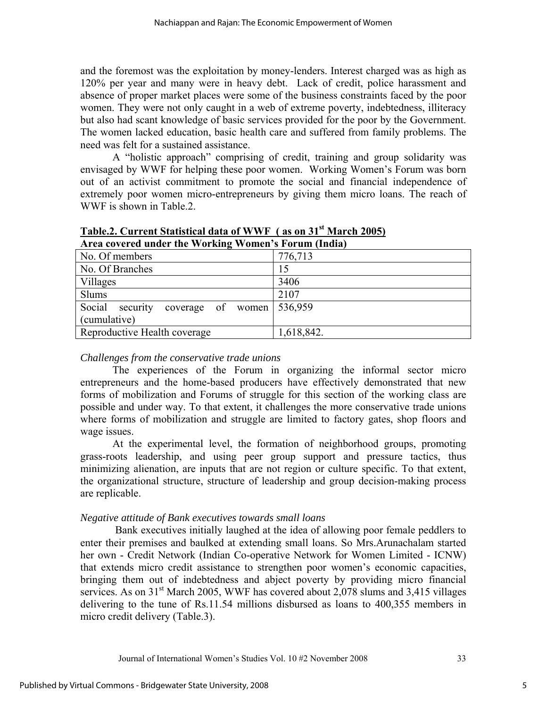and the foremost was the exploitation by money-lenders. Interest charged was as high as 120% per year and many were in heavy debt. Lack of credit, police harassment and absence of proper market places were some of the business constraints faced by the poor women. They were not only caught in a web of extreme poverty, indebtedness, illiteracy but also had scant knowledge of basic services provided for the poor by the Government. The women lacked education, basic health care and suffered from family problems. The need was felt for a sustained assistance.

A "holistic approach" comprising of credit, training and group solidarity was envisaged by WWF for helping these poor women. Working Women's Forum was born out of an activist commitment to promote the social and financial independence of extremely poor women micro-entrepreneurs by giving them micro loans. The reach of WWF is shown in Table.2.

| Area covered under the working women's Forum (findia) |            |
|-------------------------------------------------------|------------|
| No. Of members                                        | 776,713    |
| No. Of Branches                                       | 15         |
| Villages                                              | 3406       |
| <b>Slums</b>                                          | 2107       |
| Social<br>coverage of<br>security<br>women            | 536,959    |
| (cumulative)                                          |            |
| Reproductive Health coverage                          | 1,618,842. |

**Table.2. Current Statistical data of WWF ( as on 31st March 2005) Area covered under the Working Women's Forum (India)** 

# *Challenges from the conservative trade unions*

The experiences of the Forum in organizing the informal sector micro entrepreneurs and the home-based producers have effectively demonstrated that new forms of mobilization and Forums of struggle for this section of the working class are possible and under way. To that extent, it challenges the more conservative trade unions where forms of mobilization and struggle are limited to factory gates, shop floors and wage issues.

At the experimental level, the formation of neighborhood groups, promoting grass-roots leadership, and using peer group support and pressure tactics, thus minimizing alienation, are inputs that are not region or culture specific. To that extent, the organizational structure, structure of leadership and group decision-making process are replicable.

# *Negative attitude of Bank executives towards small loans*

 Bank executives initially laughed at the idea of allowing poor female peddlers to enter their premises and baulked at extending small loans. So Mrs.Arunachalam started her own - Credit Network (Indian Co-operative Network for Women Limited - ICNW) that extends micro credit assistance to strengthen poor women's economic capacities, bringing them out of indebtedness and abject poverty by providing micro financial services. As on  $31<sup>st</sup>$  March 2005, WWF has covered about 2,078 slums and 3,415 villages delivering to the tune of Rs.11.54 millions disbursed as loans to 400,355 members in micro credit delivery (Table.3).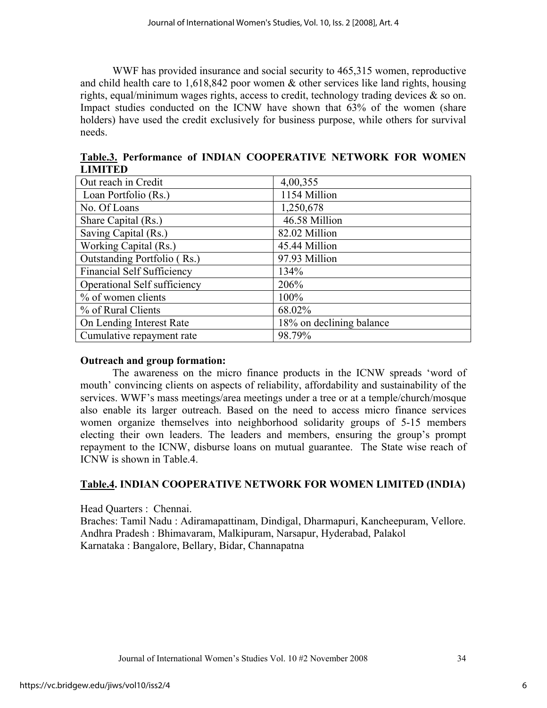WWF has provided insurance and social security to 465,315 women, reproductive and child health care to  $1,618,842$  poor women  $&$  other services like land rights, housing rights, equal/minimum wages rights, access to credit, technology trading devices & so on. Impact studies conducted on the ICNW have shown that 63% of the women (share holders) have used the credit exclusively for business purpose, while others for survival needs.

|                | Table.3. Performance of INDIAN COOPERATIVE NETWORK FOR WOMEN |  |  |  |  |
|----------------|--------------------------------------------------------------|--|--|--|--|
| <b>LIMITED</b> |                                                              |  |  |  |  |
|                |                                                              |  |  |  |  |

| Out reach in Credit               | 4,00,355                 |
|-----------------------------------|--------------------------|
| Loan Portfolio (Rs.)              | 1154 Million             |
| No. Of Loans                      | 1,250,678                |
| Share Capital (Rs.)               | 46.58 Million            |
| Saving Capital (Rs.)              | 82.02 Million            |
| Working Capital (Rs.)             | 45.44 Million            |
| Outstanding Portfolio (Rs.)       | 97.93 Million            |
| <b>Financial Self Sufficiency</b> | 134%                     |
| Operational Self sufficiency      | 206%                     |
| % of women clients                | 100%                     |
| % of Rural Clients                | 68.02%                   |
| On Lending Interest Rate          | 18% on declining balance |
| Cumulative repayment rate         | 98.79%                   |

# **Outreach and group formation:**

 The awareness on the micro finance products in the ICNW spreads 'word of mouth' convincing clients on aspects of reliability, affordability and sustainability of the services. WWF's mass meetings/area meetings under a tree or at a temple/church/mosque also enable its larger outreach. Based on the need to access micro finance services women organize themselves into neighborhood solidarity groups of 5-15 members electing their own leaders. The leaders and members, ensuring the group's prompt repayment to the ICNW, disburse loans on mutual guarantee. The State wise reach of ICNW is shown in Table.4.

# **Table.4. INDIAN COOPERATIVE NETWORK FOR WOMEN LIMITED (INDIA)**

Head Quarters : Chennai.

Braches: Tamil Nadu : Adiramapattinam, Dindigal, Dharmapuri, Kancheepuram, Vellore. Andhra Pradesh : Bhimavaram, Malkipuram, Narsapur, Hyderabad, Palakol Karnataka : Bangalore, Bellary, Bidar, Channapatna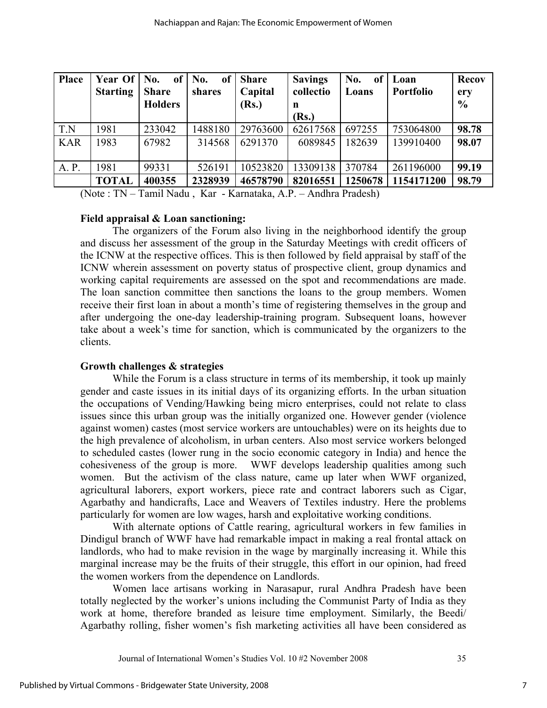| <b>Place</b> | Year Of<br><b>Starting</b> | No.<br>of<br><b>Share</b> | No.<br><sub>of</sub><br>shares | <b>Share</b><br>Capital | <b>Savings</b><br>collectio | No.<br>of<br>Loans | Loan<br><b>Portfolio</b> | <b>Recov</b><br>ery |
|--------------|----------------------------|---------------------------|--------------------------------|-------------------------|-----------------------------|--------------------|--------------------------|---------------------|
|              |                            | <b>Holders</b>            |                                | (Rs.)                   | n                           |                    |                          | $\frac{0}{0}$       |
|              |                            |                           |                                |                         | (Rs.)                       |                    |                          |                     |
| T.N          | 1981                       | 233042                    | 1488180                        | 29763600                | 62617568                    | 697255             | 753064800                | 98.78               |
| <b>KAR</b>   | 1983                       | 67982                     | 314568                         | 6291370                 | 6089845                     | 182639             | 139910400                | 98.07               |
|              |                            |                           |                                |                         |                             |                    |                          |                     |
| A. P.        | 1981                       | 99331                     | 526191                         | 10523820                | 13309138                    | 370784             | 261196000                | 99.19               |
|              | <b>TOTAL</b>               | 400355                    | 2328939                        | 46578790                | 82016551                    | 1250678            | 1154171200               | 98.79               |

(Note : TN – Tamil Nadu , Kar - Karnataka, A.P. – Andhra Pradesh)

# **Field appraisal & Loan sanctioning:**

The organizers of the Forum also living in the neighborhood identify the group and discuss her assessment of the group in the Saturday Meetings with credit officers of the ICNW at the respective offices. This is then followed by field appraisal by staff of the ICNW wherein assessment on poverty status of prospective client, group dynamics and working capital requirements are assessed on the spot and recommendations are made. The loan sanction committee then sanctions the loans to the group members. Women receive their first loan in about a month's time of registering themselves in the group and after undergoing the one-day leadership-training program. Subsequent loans, however take about a week's time for sanction, which is communicated by the organizers to the clients.

# **Growth challenges & strategies**

While the Forum is a class structure in terms of its membership, it took up mainly gender and caste issues in its initial days of its organizing efforts. In the urban situation the occupations of Vending/Hawking being micro enterprises, could not relate to class issues since this urban group was the initially organized one. However gender (violence against women) castes (most service workers are untouchables) were on its heights due to the high prevalence of alcoholism, in urban centers. Also most service workers belonged to scheduled castes (lower rung in the socio economic category in India) and hence the cohesiveness of the group is more. WWF develops leadership qualities among such women. But the activism of the class nature, came up later when WWF organized, agricultural laborers, export workers, piece rate and contract laborers such as Cigar, Agarbathy and handicrafts, Lace and Weavers of Textiles industry. Here the problems particularly for women are low wages, harsh and exploitative working conditions.

With alternate options of Cattle rearing, agricultural workers in few families in Dindigul branch of WWF have had remarkable impact in making a real frontal attack on landlords, who had to make revision in the wage by marginally increasing it. While this marginal increase may be the fruits of their struggle, this effort in our opinion, had freed the women workers from the dependence on Landlords.

Women lace artisans working in Narasapur, rural Andhra Pradesh have been totally neglected by the worker's unions including the Communist Party of India as they work at home, therefore branded as leisure time employment. Similarly, the Beedi/ Agarbathy rolling, fisher women's fish marketing activities all have been considered as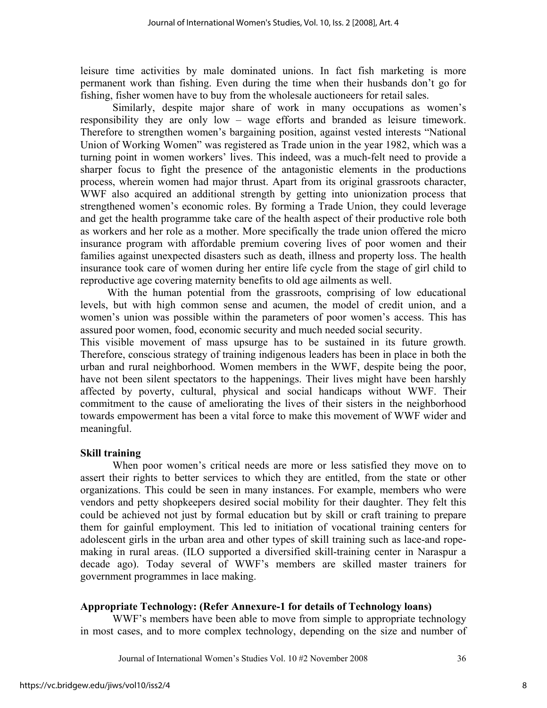leisure time activities by male dominated unions. In fact fish marketing is more permanent work than fishing. Even during the time when their husbands don't go for fishing, fisher women have to buy from the wholesale auctioneers for retail sales.

Similarly, despite major share of work in many occupations as women's responsibility they are only low – wage efforts and branded as leisure timework. Therefore to strengthen women's bargaining position, against vested interests "National Union of Working Women" was registered as Trade union in the year 1982, which was a turning point in women workers' lives. This indeed, was a much-felt need to provide a sharper focus to fight the presence of the antagonistic elements in the productions process, wherein women had major thrust. Apart from its original grassroots character, WWF also acquired an additional strength by getting into unionization process that strengthened women's economic roles. By forming a Trade Union, they could leverage and get the health programme take care of the health aspect of their productive role both as workers and her role as a mother. More specifically the trade union offered the micro insurance program with affordable premium covering lives of poor women and their families against unexpected disasters such as death, illness and property loss. The health insurance took care of women during her entire life cycle from the stage of girl child to reproductive age covering maternity benefits to old age ailments as well.

 With the human potential from the grassroots, comprising of low educational levels, but with high common sense and acumen, the model of credit union, and a women's union was possible within the parameters of poor women's access. This has assured poor women, food, economic security and much needed social security.

This visible movement of mass upsurge has to be sustained in its future growth. Therefore, conscious strategy of training indigenous leaders has been in place in both the urban and rural neighborhood. Women members in the WWF, despite being the poor, have not been silent spectators to the happenings. Their lives might have been harshly affected by poverty, cultural, physical and social handicaps without WWF. Their commitment to the cause of ameliorating the lives of their sisters in the neighborhood towards empowerment has been a vital force to make this movement of WWF wider and meaningful.

### **Skill training**

When poor women's critical needs are more or less satisfied they move on to assert their rights to better services to which they are entitled, from the state or other organizations. This could be seen in many instances. For example, members who were vendors and petty shopkeepers desired social mobility for their daughter. They felt this could be achieved not just by formal education but by skill or craft training to prepare them for gainful employment. This led to initiation of vocational training centers for adolescent girls in the urban area and other types of skill training such as lace-and ropemaking in rural areas. (ILO supported a diversified skill-training center in Naraspur a decade ago). Today several of WWF's members are skilled master trainers for government programmes in lace making.

# **Appropriate Technology: (Refer Annexure-1 for details of Technology loans)**

WWF's members have been able to move from simple to appropriate technology in most cases, and to more complex technology, depending on the size and number of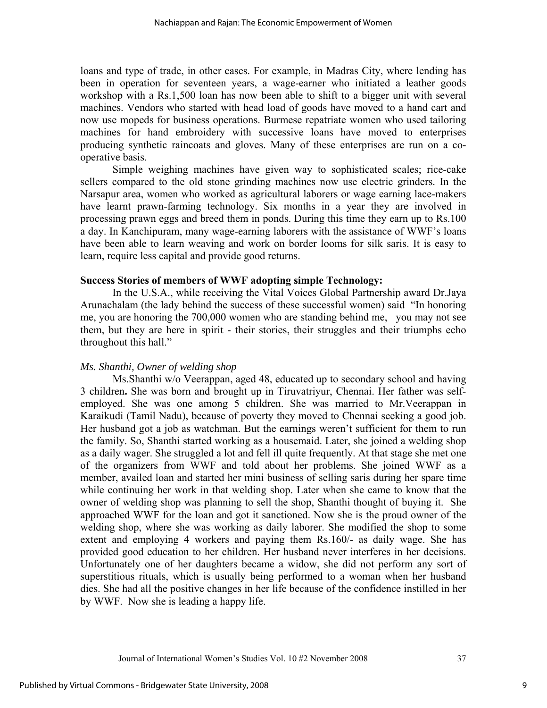loans and type of trade, in other cases. For example, in Madras City, where lending has been in operation for seventeen years, a wage-earner who initiated a leather goods workshop with a Rs.1,500 loan has now been able to shift to a bigger unit with several machines. Vendors who started with head load of goods have moved to a hand cart and now use mopeds for business operations. Burmese repatriate women who used tailoring machines for hand embroidery with successive loans have moved to enterprises producing synthetic raincoats and gloves. Many of these enterprises are run on a cooperative basis.

Simple weighing machines have given way to sophisticated scales; rice-cake sellers compared to the old stone grinding machines now use electric grinders. In the Narsapur area, women who worked as agricultural laborers or wage earning lace-makers have learnt prawn-farming technology. Six months in a year they are involved in processing prawn eggs and breed them in ponds. During this time they earn up to Rs.100 a day. In Kanchipuram, many wage-earning laborers with the assistance of WWF's loans have been able to learn weaving and work on border looms for silk saris. It is easy to learn, require less capital and provide good returns.

### **Success Stories of members of WWF adopting simple Technology:**

In the U.S.A., while receiving the Vital Voices Global Partnership award Dr.Jaya Arunachalam (the lady behind the success of these successful women) said "In honoring me, you are honoring the 700,000 women who are standing behind me, you may not see them, but they are here in spirit - their stories, their struggles and their triumphs echo throughout this hall."

### *Ms. Shanthi, Owner of welding shop*

Ms.Shanthi w/o Veerappan, aged 48, educated up to secondary school and having 3 children**.** She was born and brought up in Tiruvatriyur, Chennai. Her father was selfemployed. She was one among 5 children. She was married to Mr.Veerappan in Karaikudi (Tamil Nadu), because of poverty they moved to Chennai seeking a good job. Her husband got a job as watchman. But the earnings weren't sufficient for them to run the family. So, Shanthi started working as a housemaid. Later, she joined a welding shop as a daily wager. She struggled a lot and fell ill quite frequently. At that stage she met one of the organizers from WWF and told about her problems. She joined WWF as a member, availed loan and started her mini business of selling saris during her spare time while continuing her work in that welding shop. Later when she came to know that the owner of welding shop was planning to sell the shop, Shanthi thought of buying it. She approached WWF for the loan and got it sanctioned. Now she is the proud owner of the welding shop, where she was working as daily laborer. She modified the shop to some extent and employing 4 workers and paying them Rs.160/- as daily wage. She has provided good education to her children. Her husband never interferes in her decisions. Unfortunately one of her daughters became a widow, she did not perform any sort of superstitious rituals, which is usually being performed to a woman when her husband dies. She had all the positive changes in her life because of the confidence instilled in her by WWF. Now she is leading a happy life.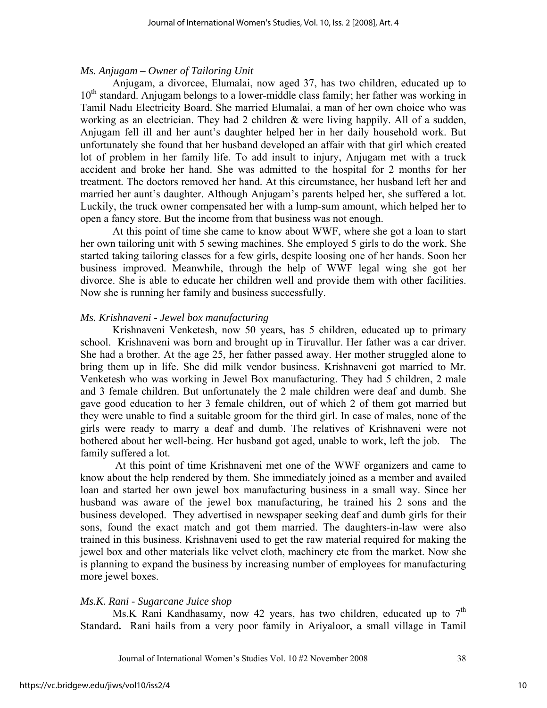#### *Ms. Anjugam – Owner of Tailoring Unit*

Anjugam, a divorcee, Elumalai, now aged 37, has two children, educated up to 10<sup>th</sup> standard. Anjugam belongs to a lower-middle class family; her father was working in Tamil Nadu Electricity Board. She married Elumalai, a man of her own choice who was working as an electrician. They had 2 children & were living happily. All of a sudden, Anjugam fell ill and her aunt's daughter helped her in her daily household work. But unfortunately she found that her husband developed an affair with that girl which created lot of problem in her family life. To add insult to injury, Anjugam met with a truck accident and broke her hand. She was admitted to the hospital for 2 months for her treatment. The doctors removed her hand. At this circumstance, her husband left her and married her aunt's daughter. Although Anjugam's parents helped her, she suffered a lot. Luckily, the truck owner compensated her with a lump-sum amount, which helped her to open a fancy store. But the income from that business was not enough.

At this point of time she came to know about WWF, where she got a loan to start her own tailoring unit with 5 sewing machines. She employed 5 girls to do the work. She started taking tailoring classes for a few girls, despite loosing one of her hands. Soon her business improved. Meanwhile, through the help of WWF legal wing she got her divorce. She is able to educate her children well and provide them with other facilities. Now she is running her family and business successfully.

#### *Ms. Krishnaveni - Jewel box manufacturing*

Krishnaveni Venketesh, now 50 years, has 5 children, educated up to primary school. Krishnaveni was born and brought up in Tiruvallur. Her father was a car driver. She had a brother. At the age 25, her father passed away. Her mother struggled alone to bring them up in life. She did milk vendor business. Krishnaveni got married to Mr. Venketesh who was working in Jewel Box manufacturing. They had 5 children, 2 male and 3 female children. But unfortunately the 2 male children were deaf and dumb. She gave good education to her 3 female children, out of which 2 of them got married but they were unable to find a suitable groom for the third girl. In case of males, none of the girls were ready to marry a deaf and dumb. The relatives of Krishnaveni were not bothered about her well-being. Her husband got aged, unable to work, left the job. The family suffered a lot.

 At this point of time Krishnaveni met one of the WWF organizers and came to know about the help rendered by them. She immediately joined as a member and availed loan and started her own jewel box manufacturing business in a small way. Since her husband was aware of the jewel box manufacturing, he trained his 2 sons and the business developed. They advertised in newspaper seeking deaf and dumb girls for their sons, found the exact match and got them married. The daughters-in-law were also trained in this business. Krishnaveni used to get the raw material required for making the jewel box and other materials like velvet cloth, machinery etc from the market. Now she is planning to expand the business by increasing number of employees for manufacturing more jewel boxes.

### *Ms.K. Rani - Sugarcane Juice shop*

Ms.K Rani Kandhasamy, now 42 years, has two children, educated up to  $7<sup>th</sup>$ Standard**.** Rani hails from a very poor family in Ariyaloor, a small village in Tamil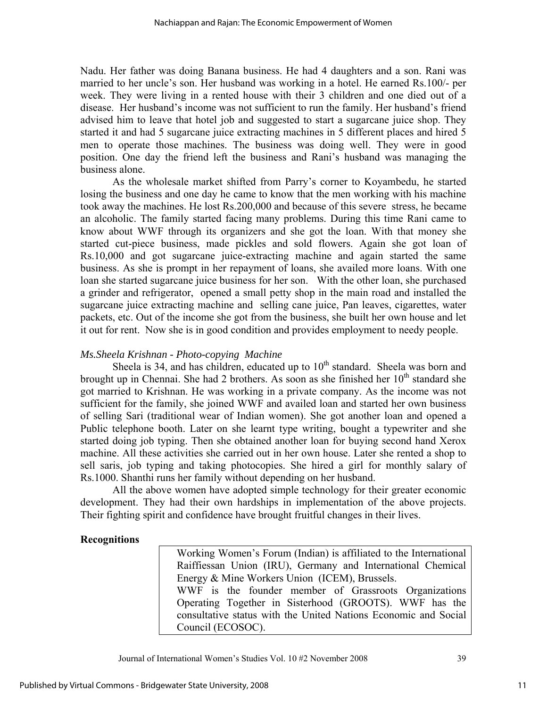Nadu. Her father was doing Banana business. He had 4 daughters and a son. Rani was married to her uncle's son. Her husband was working in a hotel. He earned Rs.100/- per week. They were living in a rented house with their 3 children and one died out of a disease. Her husband's income was not sufficient to run the family. Her husband's friend advised him to leave that hotel job and suggested to start a sugarcane juice shop. They started it and had 5 sugarcane juice extracting machines in 5 different places and hired 5 men to operate those machines. The business was doing well. They were in good position. One day the friend left the business and Rani's husband was managing the business alone.

As the wholesale market shifted from Parry's corner to Koyambedu, he started losing the business and one day he came to know that the men working with his machine took away the machines. He lost Rs.200,000 and because of this severe stress, he became an alcoholic. The family started facing many problems. During this time Rani came to know about WWF through its organizers and she got the loan. With that money she started cut-piece business, made pickles and sold flowers. Again she got loan of Rs.10,000 and got sugarcane juice-extracting machine and again started the same business. As she is prompt in her repayment of loans, she availed more loans. With one loan she started sugarcane juice business for her son. With the other loan, she purchased a grinder and refrigerator, opened a small petty shop in the main road and installed the sugarcane juice extracting machine and selling cane juice, Pan leaves, cigarettes, water packets, etc. Out of the income she got from the business, she built her own house and let it out for rent. Now she is in good condition and provides employment to needy people.

# *Ms.Sheela Krishnan - Photo-copying Machine*

Sheela is 34, and has children, educated up to  $10<sup>th</sup>$  standard. Sheela was born and brought up in Chennai. She had 2 brothers. As soon as she finished her  $10<sup>th</sup>$  standard she got married to Krishnan. He was working in a private company. As the income was not sufficient for the family, she joined WWF and availed loan and started her own business of selling Sari (traditional wear of Indian women). She got another loan and opened a Public telephone booth. Later on she learnt type writing, bought a typewriter and she started doing job typing. Then she obtained another loan for buying second hand Xerox machine. All these activities she carried out in her own house. Later she rented a shop to sell saris, job typing and taking photocopies. She hired a girl for monthly salary of Rs.1000. Shanthi runs her family without depending on her husband.

All the above women have adopted simple technology for their greater economic development. They had their own hardships in implementation of the above projects. Their fighting spirit and confidence have brought fruitful changes in their lives.

### **Recognitions**

 Working Women's Forum (Indian) is affiliated to the International Raiffiessan Union (IRU), Germany and International Chemical Energy & Mine Workers Union (ICEM), Brussels. WWF is the founder member of Grassroots Organizations Operating Together in Sisterhood (GROOTS). WWF has the consultative status with the United Nations Economic and Social Council (ECOSOC).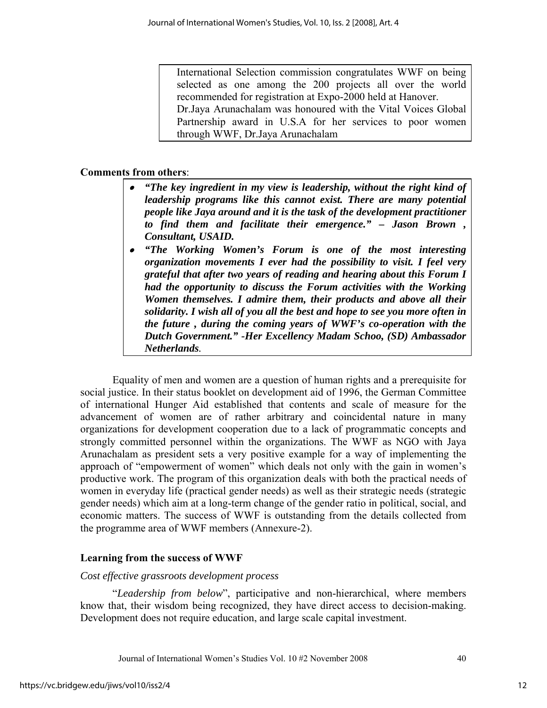International Selection commission congratulates WWF on being selected as one among the 200 projects all over the world recommended for registration at Expo-2000 held at Hanover. Dr.Jaya Arunachalam was honoured with the Vital Voices Global Partnership award in U.S.A for her services to poor women through WWF, Dr.Jaya Arunachalam

# **Comments from others**:

- *"The key ingredient in my view is leadership, without the right kind of leadership programs like this cannot exist. There are many potential people like Jaya around and it is the task of the development practitioner to find them and facilitate their emergence." – Jason Brown , Consultant, USAID.*
- *"The Working Women's Forum is one of the most interesting organization movements I ever had the possibility to visit. I feel very grateful that after two years of reading and hearing about this Forum I had the opportunity to discuss the Forum activities with the Working Women themselves. I admire them, their products and above all their solidarity. I wish all of you all the best and hope to see you more often in the future , during the coming years of WWF's co-operation with the Dutch Government." -Her Excellency Madam Schoo, (SD) Ambassador Netherlands.*

Equality of men and women are a question of human rights and a prerequisite for social justice. In their status booklet on development aid of 1996, the German Committee of international Hunger Aid established that contents and scale of measure for the advancement of women are of rather arbitrary and coincidental nature in many organizations for development cooperation due to a lack of programmatic concepts and strongly committed personnel within the organizations. The WWF as NGO with Jaya Arunachalam as president sets a very positive example for a way of implementing the approach of "empowerment of women" which deals not only with the gain in women's productive work. The program of this organization deals with both the practical needs of women in everyday life (practical gender needs) as well as their strategic needs (strategic gender needs) which aim at a long-term change of the gender ratio in political, social, and economic matters. The success of WWF is outstanding from the details collected from the programme area of WWF members (Annexure-2).

# **Learning from the success of WWF**

### *Cost effective grassroots development process*

"*Leadership from below*", participative and non-hierarchical, where members know that, their wisdom being recognized, they have direct access to decision-making. Development does not require education, and large scale capital investment.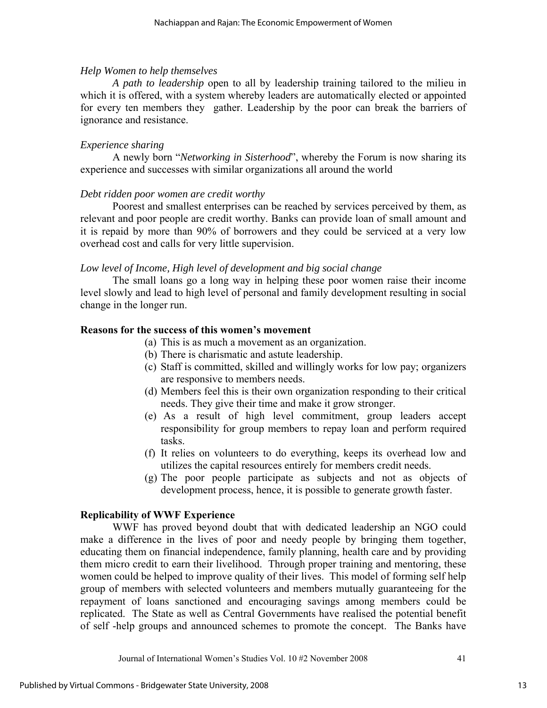# *Help Women to help themselves*

*A path to leadership* open to all by leadership training tailored to the milieu in which it is offered, with a system whereby leaders are automatically elected or appointed for every ten members they gather. Leadership by the poor can break the barriers of ignorance and resistance.

# *Experience sharing*

A newly born "*Networking in Sisterhood*", whereby the Forum is now sharing its experience and successes with similar organizations all around the world

### *Debt ridden poor women are credit worthy*

Poorest and smallest enterprises can be reached by services perceived by them, as relevant and poor people are credit worthy. Banks can provide loan of small amount and it is repaid by more than 90% of borrowers and they could be serviced at a very low overhead cost and calls for very little supervision.

### *Low level of Income, High level of development and big social change*

The small loans go a long way in helping these poor women raise their income level slowly and lead to high level of personal and family development resulting in social change in the longer run.

# **Reasons for the success of this women's movement**

- (a) This is as much a movement as an organization.
- (b) There is charismatic and astute leadership.
- (c) Staff is committed, skilled and willingly works for low pay; organizers are responsive to members needs.
- (d) Members feel this is their own organization responding to their critical needs. They give their time and make it grow stronger.
- (e) As a result of high level commitment, group leaders accept responsibility for group members to repay loan and perform required tasks.
- (f) It relies on volunteers to do everything, keeps its overhead low and utilizes the capital resources entirely for members credit needs.
- (g) The poor people participate as subjects and not as objects of development process, hence, it is possible to generate growth faster.

### **Replicability of WWF Experience**

WWF has proved beyond doubt that with dedicated leadership an NGO could make a difference in the lives of poor and needy people by bringing them together, educating them on financial independence, family planning, health care and by providing them micro credit to earn their livelihood. Through proper training and mentoring, these women could be helped to improve quality of their lives. This model of forming self help group of members with selected volunteers and members mutually guaranteeing for the repayment of loans sanctioned and encouraging savings among members could be replicated. The State as well as Central Governments have realised the potential benefit of self -help groups and announced schemes to promote the concept. The Banks have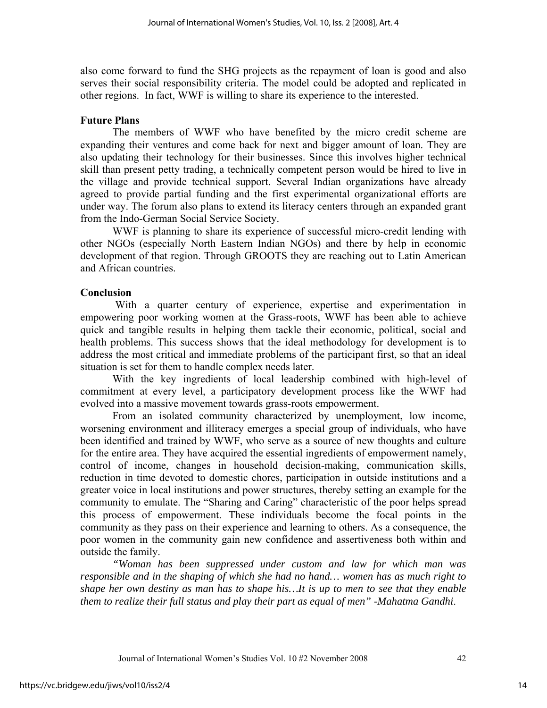also come forward to fund the SHG projects as the repayment of loan is good and also serves their social responsibility criteria. The model could be adopted and replicated in other regions. In fact, WWF is willing to share its experience to the interested.

# **Future Plans**

The members of WWF who have benefited by the micro credit scheme are expanding their ventures and come back for next and bigger amount of loan. They are also updating their technology for their businesses. Since this involves higher technical skill than present petty trading, a technically competent person would be hired to live in the village and provide technical support. Several Indian organizations have already agreed to provide partial funding and the first experimental organizational efforts are under way. The forum also plans to extend its literacy centers through an expanded grant from the Indo-German Social Service Society.

WWF is planning to share its experience of successful micro-credit lending with other NGOs (especially North Eastern Indian NGOs) and there by help in economic development of that region. Through GROOTS they are reaching out to Latin American and African countries.

# **Conclusion**

With a quarter century of experience, expertise and experimentation in empowering poor working women at the Grass-roots, WWF has been able to achieve quick and tangible results in helping them tackle their economic, political, social and health problems. This success shows that the ideal methodology for development is to address the most critical and immediate problems of the participant first, so that an ideal situation is set for them to handle complex needs later.

With the key ingredients of local leadership combined with high-level of commitment at every level, a participatory development process like the WWF had evolved into a massive movement towards grass-roots empowerment.

From an isolated community characterized by unemployment, low income, worsening environment and illiteracy emerges a special group of individuals, who have been identified and trained by WWF, who serve as a source of new thoughts and culture for the entire area. They have acquired the essential ingredients of empowerment namely, control of income, changes in household decision-making, communication skills, reduction in time devoted to domestic chores, participation in outside institutions and a greater voice in local institutions and power structures, thereby setting an example for the community to emulate. The "Sharing and Caring" characteristic of the poor helps spread this process of empowerment. These individuals become the focal points in the community as they pass on their experience and learning to others. As a consequence, the poor women in the community gain new confidence and assertiveness both within and outside the family.

*"Woman has been suppressed under custom and law for which man was responsible and in the shaping of which she had no hand… women has as much right to shape her own destiny as man has to shape his…It is up to men to see that they enable them to realize their full status and play their part as equal of men" -Mahatma Gandhi*.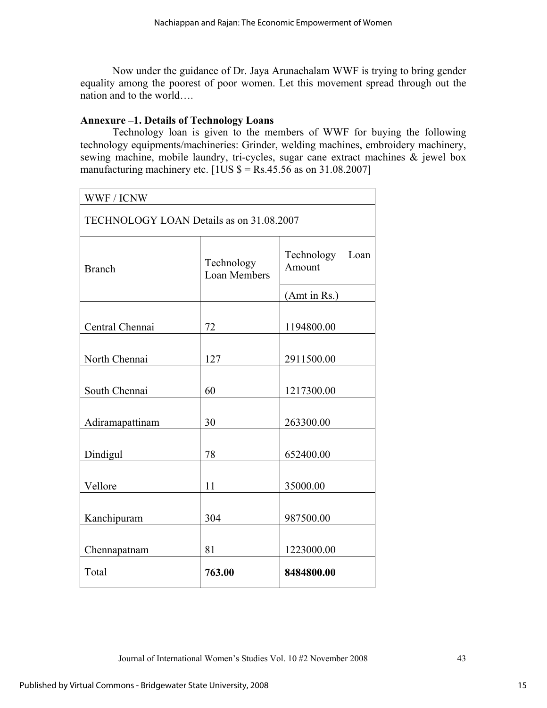Now under the guidance of Dr. Jaya Arunachalam WWF is trying to bring gender equality among the poorest of poor women. Let this movement spread through out the nation and to the world….

# **Annexure –1. Details of Technology Loans**

Technology loan is given to the members of WWF for buying the following technology equipments/machineries: Grinder, welding machines, embroidery machinery, sewing machine, mobile laundry, tri-cycles, sugar cane extract machines & jewel box manufacturing machinery etc.  $[1US $ = Rs.45.56$  as on 31.08.2007]

| WWF / ICNW                               |                                   |                              |  |  |  |  |  |
|------------------------------------------|-----------------------------------|------------------------------|--|--|--|--|--|
| TECHNOLOGY LOAN Details as on 31.08.2007 |                                   |                              |  |  |  |  |  |
| <b>Branch</b>                            | Technology<br><b>Loan Members</b> | Technology<br>Loan<br>Amount |  |  |  |  |  |
|                                          |                                   | (Amt in Rs.)                 |  |  |  |  |  |
| Central Chennai                          | 72                                | 1194800.00                   |  |  |  |  |  |
| North Chennai                            | 127                               | 2911500.00                   |  |  |  |  |  |
| South Chennai                            | 60                                | 1217300.00                   |  |  |  |  |  |
| Adiramapattinam                          | 30                                | 263300.00                    |  |  |  |  |  |
| Dindigul                                 | 78                                | 652400.00                    |  |  |  |  |  |
| Vellore                                  | 11                                | 35000.00                     |  |  |  |  |  |
| Kanchipuram                              | 304                               | 987500.00                    |  |  |  |  |  |
| Chennapatnam                             | 81                                | 1223000.00                   |  |  |  |  |  |
| Total                                    | 763.00                            | 8484800.00                   |  |  |  |  |  |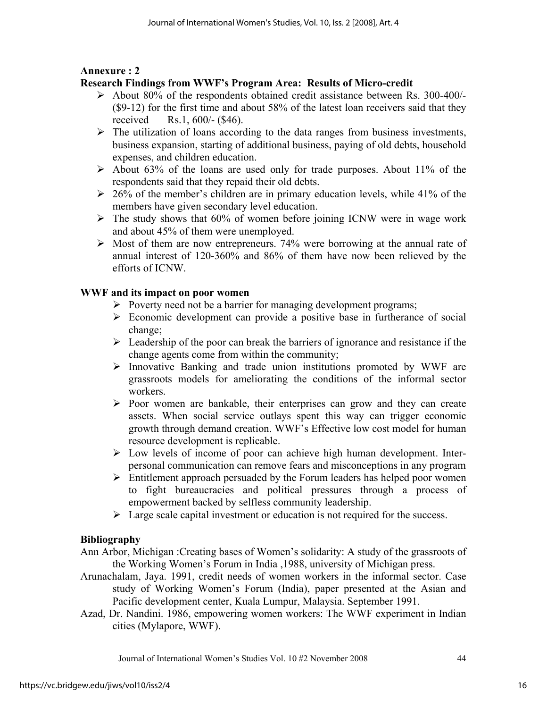# **Annexure : 2**

# **Research Findings from WWF's Program Area: Results of Micro-credit**

- ¾ About 80% of the respondents obtained credit assistance between Rs. 300-400/- (\$9-12) for the first time and about 58% of the latest loan receivers said that they received Rs.1, 600/- (\$46).
- $\triangleright$  The utilization of loans according to the data ranges from business investments, business expansion, starting of additional business, paying of old debts, household expenses, and children education.
- $\triangleright$  About 63% of the loans are used only for trade purposes. About 11% of the respondents said that they repaid their old debts.
- $\geq 26\%$  of the member's children are in primary education levels, while 41% of the members have given secondary level education.
- $\triangleright$  The study shows that 60% of women before joining ICNW were in wage work and about 45% of them were unemployed.
- $\triangleright$  Most of them are now entrepreneurs. 74% were borrowing at the annual rate of annual interest of 120-360% and 86% of them have now been relieved by the efforts of ICNW.

# **WWF and its impact on poor women**

- $\triangleright$  Poverty need not be a barrier for managing development programs;
- $\triangleright$  Economic development can provide a positive base in furtherance of social change;
- $\triangleright$  Leadership of the poor can break the barriers of ignorance and resistance if the change agents come from within the community;
- ¾ Innovative Banking and trade union institutions promoted by WWF are grassroots models for ameliorating the conditions of the informal sector workers.
- $\triangleright$  Poor women are bankable, their enterprises can grow and they can create assets. When social service outlays spent this way can trigger economic growth through demand creation. WWF's Effective low cost model for human resource development is replicable.
- $\triangleright$  Low levels of income of poor can achieve high human development. Interpersonal communication can remove fears and misconceptions in any program
- $\triangleright$  Entitlement approach persuaded by the Forum leaders has helped poor women to fight bureaucracies and political pressures through a process of empowerment backed by selfless community leadership.
- $\triangleright$  Large scale capital investment or education is not required for the success.

# **Bibliography**

- Ann Arbor, Michigan :Creating bases of Women's solidarity: A study of the grassroots of the Working Women's Forum in India ,1988, university of Michigan press.
- Arunachalam, Jaya. 1991, credit needs of women workers in the informal sector. Case study of Working Women's Forum (India), paper presented at the Asian and Pacific development center, Kuala Lumpur, Malaysia. September 1991.
- Azad, Dr. Nandini. 1986, empowering women workers: The WWF experiment in Indian cities (Mylapore, WWF).